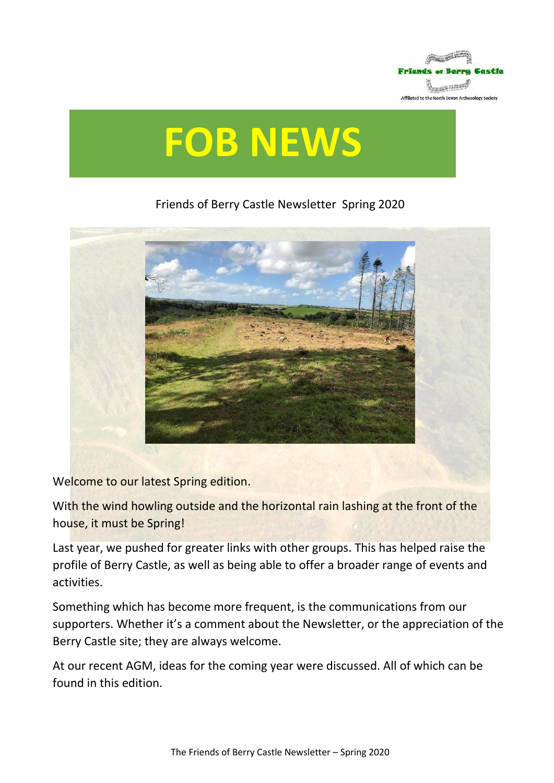

# **FOB NEWS**

# Friends of Berry Castle Newsletter Spring 2020



Welcome to our latest Spring edition.

With the wind howling outside and the horizontal rain lashing at the front of the house, it must be Spring!

Last year, we pushed for greater links with other groups. This has helped raise the profile of Berry Castle, as well as being able to offer a broader range of events and activities.

Something which has become more frequent, is the communications from our supporters. Whether it's a comment about the Newsletter, or the appreciation of the Berry Castle site; they are always welcome.

At our recent AGM, ideas for the coming year were discussed. All of which can be found in this edition.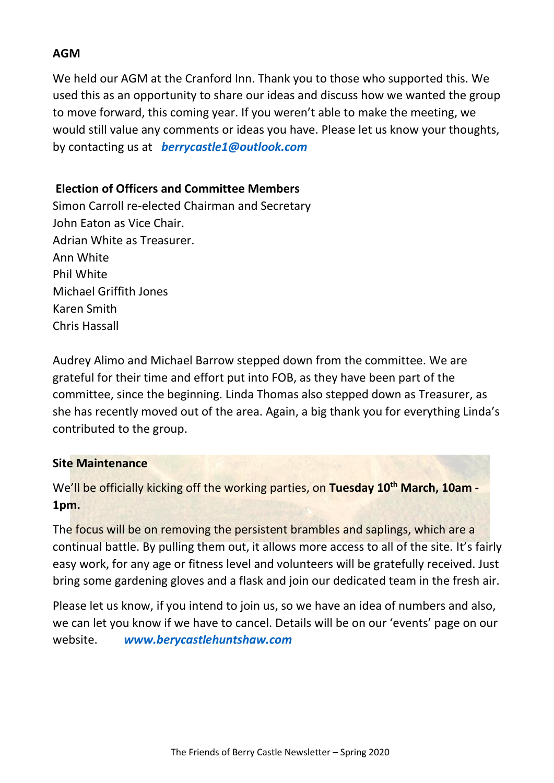#### **AGM**

We held our AGM at the Cranford Inn. Thank you to those who supported this. We used this as an opportunity to share our ideas and discuss how we wanted the group to move forward, this coming year. If you weren't able to make the meeting, we would still value any comments or ideas you have. Please let us know your thoughts, by contacting us at *[berrycastle1@outlook.com](mailto:berrycastle1@outlook.com)*

## **Election of Officers and Committee Members**

Simon Carroll re-elected Chairman and Secretary John Eaton as Vice Chair. Adrian White as Treasurer. Ann White Phil White Michael Griffith Jones Karen Smith Chris Hassall

Audrey Alimo and Michael Barrow stepped down from the committee. We are grateful for their time and effort put into FOB, as they have been part of the committee, since the beginning. Linda Thomas also stepped down as Treasurer, as she has recently moved out of the area. Again, a big thank you for everything Linda's contributed to the group.

#### **Site Maintenance**

We'll be officially kicking off the working parties, on **Tuesday 10th March, 10am - 1pm.** 

The focus will be on removing the persistent brambles and saplings, which are a continual battle. By pulling them out, it allows more access to all of the site. It's fairly easy work, for any age or fitness level and volunteers will be gratefully received. Just bring some gardening gloves and a flask and join our dedicated team in the fresh air.

Please let us know, if you intend to join us, so we have an idea of numbers and also, we can let you know if we have to cancel. Details will be on our 'events' page on our website. *[www.berycastlehuntshaw.com](http://www.berycastlehuntshaw.com/)*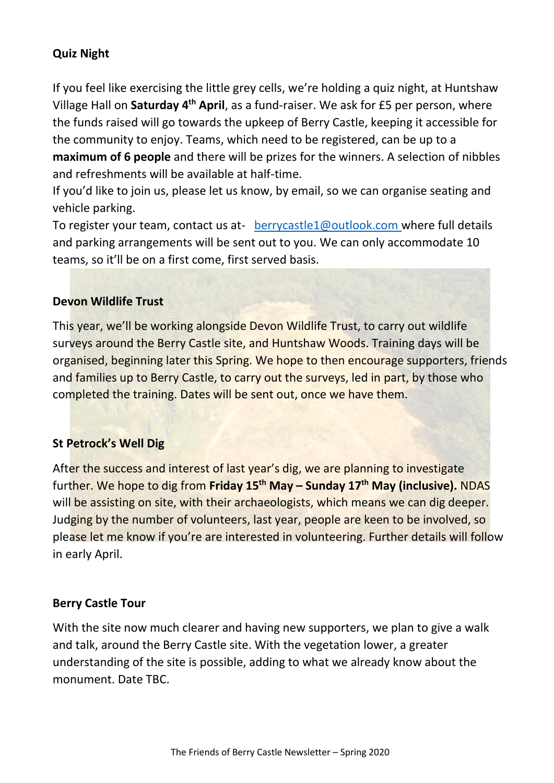# **Quiz Night**

If you feel like exercising the little grey cells, we're holding a quiz night, at Huntshaw Village Hall on **Saturday 4th April**, as a fund-raiser. We ask for £5 per person, where the funds raised will go towards the upkeep of Berry Castle, keeping it accessible for the community to enjoy. Teams, which need to be registered, can be up to a **maximum of 6 people** and there will be prizes for the winners. A selection of nibbles and refreshments will be available at half-time.

If you'd like to join us, please let us know, by email, so we can organise seating and vehicle parking.

To register your team, contact us at- [berrycastle1@outlook.com](mailto:berrycastle1@outlook.com) where full details and parking arrangements will be sent out to you. We can only accommodate 10 teams, so it'll be on a first come, first served basis.

#### **Devon Wildlife Trust**

This year, we'll be working alongside Devon Wildlife Trust, to carry out wildlife surveys around the Berry Castle site, and Huntshaw Woods. Training days will be organised, beginning later this Spring. We hope to then encourage supporters, friends and families up to Berry Castle, to carry out the surveys, led in part, by those who completed the training. Dates will be sent out, once we have them.

#### **St Petrock's Well Dig**

After the success and interest of last year's dig, we are planning to investigate further. We hope to dig from **Friday 15th May – Sunday 17th May (inclusive).** NDAS will be assisting on site, with their archaeologists, which means we can dig deeper. Judging by the number of volunteers, last year, people are keen to be involved, so please let me know if you're are interested in volunteering. Further details will follow in early April.

#### **Berry Castle Tour**

With the site now much clearer and having new supporters, we plan to give a walk and talk, around the Berry Castle site. With the vegetation lower, a greater understanding of the site is possible, adding to what we already know about the monument. Date TBC.